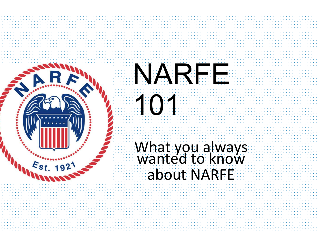



## What you always wanted to know about NARFE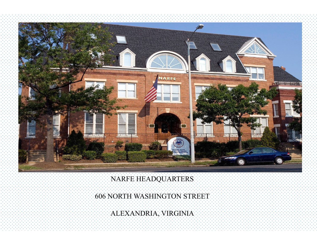

## NARFE HEADQUARTERS

606 NORTH WASHINGTON STREET

ALEXANDRIA, VIRGINIA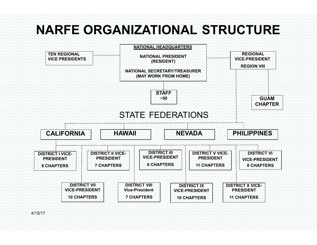## **NARFE ORGANIZATIONAL STRUCTURE**

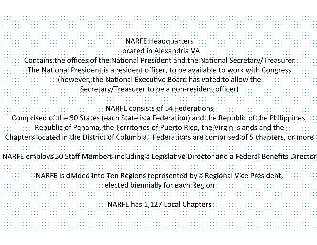## NARFE Headquarters

Located in Alexandria VA

Contains the offices of the National President and the National Secretary/Treasurer The National President is a resident officer, to be available to work with Congress (however, the National Executive Board has voted to allow the Secretary/Treasurer to be a non-resident officer)

NARFE consists of 54 Federations

Comprised of the 50 States (each State is a Federation) and the Republic of the Philippines, Republic of Panama, the Territories of Puerto Rico, the Virgin Islands and the Chapters located in the District of Columbia. Federations are comprised of 5 chapters, or more

NARFE employs 50 Staff Members including a Legislative Director and a Federal Benefits Director

NARFE is divided into Ten Regions represented by a Regional Vice President, elected biennially for each Region

NARFE has 1,127 Local Chapters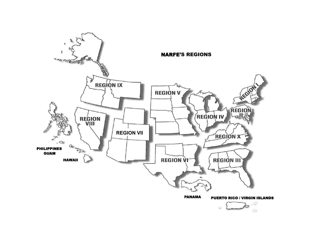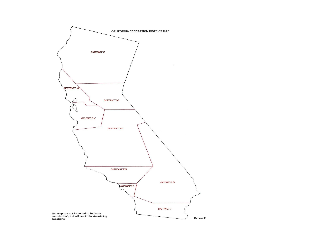